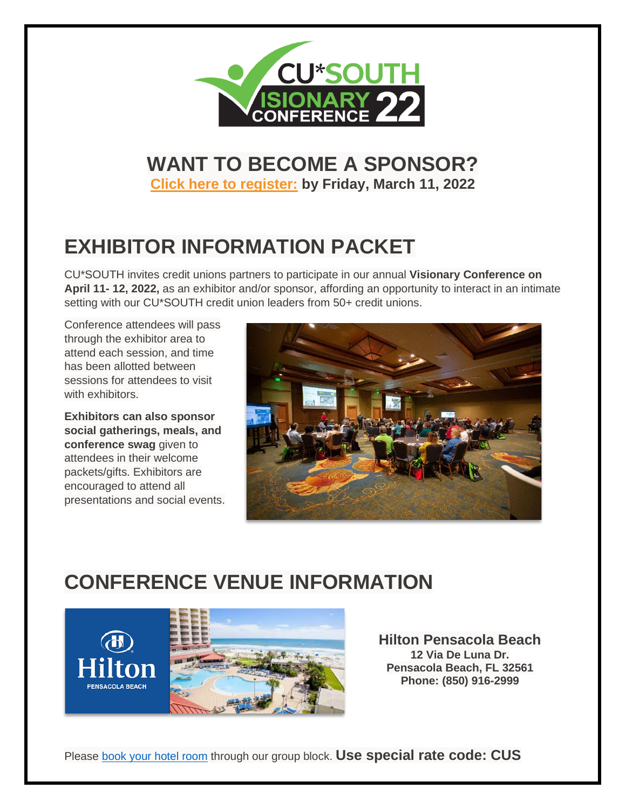

### **WANT TO BECOME A SPONSOR?**

**[Click here to register:](https://cusouthcuso.typeform.com/to/zH2M1Oki?typeform-source=www.cusouth.com) by Friday, March 11, 2022**

# **EXHIBITOR INFORMATION PACKET**

CU\*SOUTH invites credit unions partners to participate in our annual **Visionary Conference on April 11- 12, 2022,** as an exhibitor and/or sponsor, affording an opportunity to interact in an intimate setting with our CU\*SOUTH credit union leaders from 50+ credit unions.

Conference attendees will pass through the exhibitor area to attend each session, and time has been allotted between sessions for attendees to visit with exhibitors.

**Exhibitors can also sponsor social gatherings, meals, and conference swag** given to attendees in their welcome packets/gifts. Exhibitors are encouraged to attend all presentations and social events.



### **CONFERENCE VENUE INFORMATION**



**Hilton Pensacola Beach 12 Via De Luna Dr. Pensacola Beach, FL 32561 Phone: (850) 916-2999**

Please [book your hotel room](https://www.hilton.com/en/book/reservation/rooms/?ctyhocn=PNSPEHF&arrivalDate=2022-04-11&departureDate=2022-04-13&room1NumAdults=1&mcid=) through our group block. **Use special rate code: CUS**